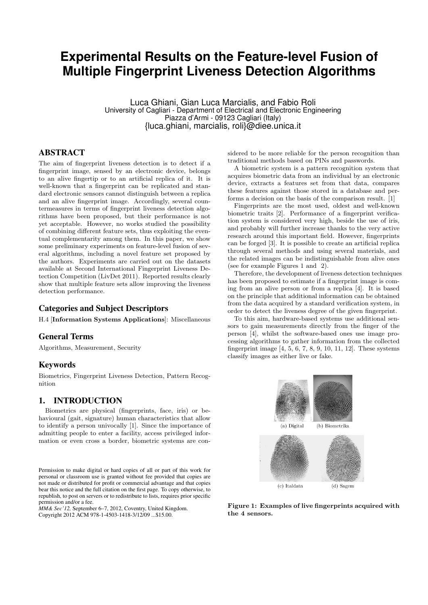# **Experimental Results on the Feature-level Fusion of Multiple Fingerprint Liveness Detection Algorithms**

Luca Ghiani, Gian Luca Marcialis, and Fabio Roli University of Cagliari - Department of Electrical and Electronic Engineering Piazza d'Armi - 09123 Cagliari (Italy) {luca.ghiani, marcialis, roli}@diee.unica.it

# ABSTRACT

The aim of fingerprint liveness detection is to detect if a fingerprint image, sensed by an electronic device, belongs to an alive fingertip or to an artificial replica of it. It is well-known that a fingerprint can be replicated and standard electronic sensors cannot distinguish between a replica and an alive fingerprint image. Accordingly, several countermeasures in terms of fingerprint liveness detection algorithms have been proposed, but their performance is not yet acceptable. However, no works studied the possibility of combining different feature sets, thus exploiting the eventual complementarity among them. In this paper, we show some preliminary experiments on feature-level fusion of several algorithms, including a novel feature set proposed by the authors. Experiments are carried out on the datasets available at Second International Fingerprint Liveness Detection Competition (LivDet 2011). Reported results clearly show that multiple feature sets allow improving the liveness detection performance.

## Categories and Subject Descriptors

H.4 [**Information Systems Applications**]: Miscellaneous

# General Terms

Algorithms, Measurement, Security

## Keywords

Biometrics, Fingerprint Liveness Detection, Pattern Recognition

# 1. INTRODUCTION

Biometrics are physical (fingerprints, face, iris) or behavioural (gait, signature) human characteristics that allow to identify a person univocally [1]. Since the importance of admitting people to enter a facility, access privileged information or even cross a border, biometric systems are con-

*MM& Sec'12,* September 6–7, 2012, Coventry, United Kingdom. Copyright 2012 ACM 978-1-4503-1418-3/12/09 ...\$15.00.

sidered to be more reliable for the person recognition than traditional methods based on PINs and passwords.

A biometric system is a pattern recognition system that acquires biometric data from an individual by an electronic device, extracts a features set from that data, compares these features against those stored in a database and performs a decision on the basis of the comparison result. [1]

Fingerprints are the most used, oldest and well-known biometric traits [2]. Performance of a fingerprint verification system is considered very high, beside the use of iris, and probably will further increase thanks to the very active research around this important field. However, fingerprints can be forged [3]. It is possible to create an artificial replica through several methods and using several materials, and the related images can be indistinguishable from alive ones (see for example Figures 1 and 2).

Therefore, the development of liveness detection techniques has been proposed to estimate if a fingerprint image is coming from an alive person or from a replica [4]. It is based on the principle that additional information can be obtained from the data acquired by a standard verification system, in order to detect the liveness degree of the given fingerprint.

To this aim, hardware-based systems use additional sensors to gain measurements directly from the finger of the person [4], whilst the software-based ones use image processing algorithms to gather information from the collected fingerprint image [4, 5, 6, 7, 8, 9, 10, 11, 12]. These systems classify images as either live or fake.



**Figure 1: Examples of live fingerprints acquired with the 4 sensors.**

Permission to make digital or hard copies of all or part of this work for personal or classroom use is granted without fee provided that copies are not made or distributed for profit or commercial advantage and that copies bear this notice and the full citation on the first page. To copy otherwise, to republish, to post on servers or to redistribute to lists, requires prior specific permission and/or a fee.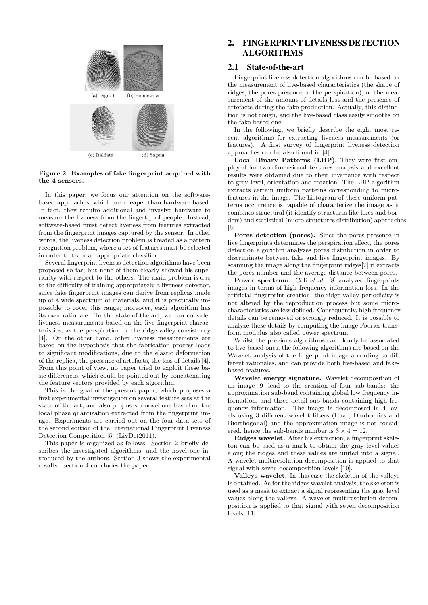

#### **Figure 2: Examples of fake fingerprint acquired with the 4 sensors.**

In this paper, we focus our attention on the softwarebased approaches, which are cheaper than hardware-based. In fact, they require additional and invasive hardware to measure the liveness from the fingertip of people. Instead, software-based must detect liveness from features extracted from the fingerprint images captured by the sensor. In other words, the liveness detection problem is treated as a pattern recognition problem, where a set of features must be selected in order to train an appropriate classifier.

Several fingerprint liveness detection algorithms have been proposed so far, but none of them clearly showed his superiority with respect to the others. The main problem is due to the difficulty of training appropriately a liveness detector, since fake fingerprint images can derive from replicas made up of a wide spectrum of materials, and it is practically impossible to cover this range; moreover, each algorithm has its own rationale. To the state-of-the-art, we can consider liveness measurements based on the live fingerprint characteristics, as the perspiration or the ridge-valley consistency [4]. On the other hand, other liveness measurements are based on the hypothesis that the fabrication process leads to significant modifications, due to the elastic deformation of the replica, the presence of artefacts, the loss of details [4]. From this point of view, no paper tried to exploit these basic differences, which could be pointed out by concatenating the feature vectors provided by each algorithm.

This is the goal of the present paper, which proposes a first experimental investigation on several feature sets at the state-of-the-art, and also proposes a novel one based on the local phase quantization extracted from the fingerprint image. Experiments are carried out on the four data sets of the second edition of the International Fingerprint Liveness Detection Competition [5] (LivDet2011).

This paper is organized as follows. Section 2 briefly describes the investigated algorithms, and the novel one introduced by the authors. Section 3 shows the experimental results. Section 4 concludes the paper.

# 2. FINGERPRINT LIVENESS DETECTION ALGORITHMS

# 2.1 State-of-the-art

Fingerprint liveness detection algorithms can be based on the measurement of live-based characteristics (the shape of ridges, the pores presence or the perspiration), or the measurement of the amount of details lost and the presence of artefacts during the fake production. Actually, this distinction is not rough, and the live-based class easily smooths on the fake-based one.

In the following, we briefly describe the eight most recent algorithms for extracting liveness measurements (or features). A first survey of fingerprint liveness detection approaches can be also found in [4].

**Local Binary Patterns (LBP).** They were first employed for two-dimensional textures analysis and excellent results were obtained due to their invariance with respect to grey level, orientation and rotation. The LBP algorithm extracts certain uniform patterns corresponding to microfeatures in the image. The histogram of these uniform patterns occurrence is capable of characterize the image as it combines structural (it identify structures like lines and borders) and statistical (micro-structures distribution) approaches [6].

**Pores detection (pores).** Since the pores presence in live fingerprints determines the perspiration effect, the pores detection algorithm analyzes pores distribution in order to discriminate between fake and live fingerprint images. By scanning the image along the fingerprint ridges[7] it extracts the pores number and the average distance between pores.

**Power spectrum.** Coli *et al*. [8] analyzed fingerprints images in terms of high frequency information loss. In the artificial fingerprint creation, the ridge-valley periodicity is not altered by the reproduction process but some microcharacteristics are less defined. Consequently, high frequency details can be removed or strongly reduced. It is possible to analyze these details by computing the image Fourier transform modulus also called power spectrum.

Whilst the previous algorithms can clearly be associated to live-based ones, the following algorithms are based on the Wavelet analysis of the fingerprint image according to different rationales, and can provide both live-based and fakebased features.

**Wavelet energy signature.** Wavelet decomposition of an image [9] lead to the creation of four sub-bands: the approximation sub-band containing global low frequency information, and three detail sub-bands containing high frequency information. The image is decomposed in 4 levels using 3 different wavelet filters (Haar, Daubechies and Biorthogonal) and the approximation image is not considered, hence the sub-bands number is  $3 \times 4 = 12$ .

**Ridges wavelet.** After his extraction, a fingerprint skeleton can be used as a mask to obtain the gray level values along the ridges and these values are united into a signal. A wavelet multiresolution decomposition is applied to that signal with seven decomposition levels [10].

**Valleys wavelet.** In this case the skeleton of the valleys is obtained. As for the ridges wavelet analysis, the skeleton is used as a mask to extract a signal representing the gray level values along the valleys. A wavelet multiresolution decomposition is applied to that signal with seven decomposition levels [11].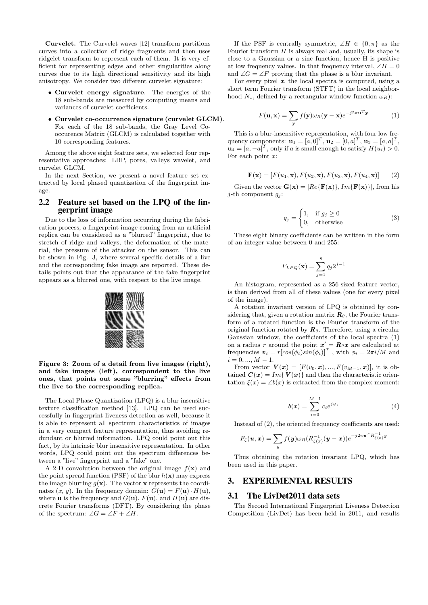**Curvelet.** The Curvelet waves [12] transform partitions curves into a collection of ridge fragments and then uses ridgelet transform to represent each of them. It is very efficient for representing edges and other singularities along curves due to its high directional sensitivity and its high anisotropy. We consider two different curvelet signature:

- *•* **Curvelet energy signature**. The energies of the 18 sub-bands are measured by computing means and variances of curvelet coefficients.
- *•* **Curvelet co-occurrence signature (curvelet GLCM)**. For each of the 18 sub-bands, the Gray Level Cooccurence Matrix (GLCM) is calculated together with 10 corresponding features.

Among the above eight feature sets, we selected four representative approaches: LBP, pores, valleys wavelet, and curvelet GLCM.

In the next Section, we present a novel feature set extracted by local phased quantization of the fingerprint image.

## 2.2 Feature set based on the LPQ of the fingerprint image

Due to the loss of information occurring during the fabrication process, a fingerprint image coming from an artificial replica can be considered as a "blurred" fingerprint, due to stretch of ridge and valleys, the deformation of the material, the pressure of the attacker on the sensor. This can be shown in Fig. 3, where several specific details of a live and the corresponding fake image are reported. These details points out that the appearance of the fake fingerprint appears as a blurred one, with respect to the live image.



**Figure 3: Zoom of a detail from live images (right), and fake images (left), correspondent to the live ones, that points out some "blurring" effects from the live to the corresponding replica.**

The Local Phase Quantization (LPQ) is a blur insensitive texture classification method [13]. LPQ can be used successfully in fingerprint liveness detection as well, because it is able to represent all spectrum characteristics of images in a very compact feature representation, thus avoiding redundant or blurred information. LPQ could point out this fact, by its intrinsic blur insensitive representation. In other words, LPQ could point out the spectrum differences between a "live" fingerprint and a "fake" one.

A 2-D convolution between the original image  $f(\mathbf{x})$  and the point spread function (PSF) of the blur  $h(\mathbf{x})$  may express the image blurring  $g(\mathbf{x})$ . The vector **x** represents the coordinates  $(x, y)$ . In the frequency domain:  $G(\mathbf{u}) = F(\mathbf{u}) \cdot H(\mathbf{u}),$ where **u** is the frequency and  $G(\mathbf{u})$ ,  $F(\mathbf{u})$ , and  $H(\mathbf{u})$  are discrete Fourier transforms (DFT). By considering the phase of the spectrum:  $\angle G = \angle F + \angle H$ .

If the PSF is centrally symmetric,  $\angle H \in \{0, \pi\}$  as the Fourier transform *H* is always real and, usually, its shape is close to a Gaussian or a sinc function, hence H is positive at low frequency values. In that frequency interval,  $\angle H = 0$ and  $\angle G = \angle F$  proving that the phase is a blur invariant.

For every pixel *x*, the local spectra is computed, using a short term Fourier transform (STFT) in the local neighborhood  $N_x$ , defined by a rectangular window function  $\omega_R$ ):

$$
F(\mathbf{u}, \mathbf{x}) = \sum_{\mathbf{y}} f(\mathbf{y}) \omega_R (\mathbf{y} - \mathbf{x}) e^{-j2\pi \mathbf{u}^T \mathbf{y}}
$$
(1)

This is a blur-insensitive representation, with four low frequency components:  $\mathbf{u}_1 = [a, 0]^T$ ,  $\mathbf{u}_2 = [0, a]^T$ ,  $\mathbf{u}_3 = [a, a]^T$ ,  $u_4 = [a, -a]^T$ , only if *a* is small enough to satisfy  $H(u_i) > 0$ . For each point *x*:

$$
\mathbf{F}(\mathbf{x}) = [F(u_1, \mathbf{x}), F(u_2, \mathbf{x}), F(u_3, \mathbf{x}), F(u_4, \mathbf{x})] \qquad (2)
$$

Given the vector  $\mathbf{G}(\mathbf{x}) = [Re\{\mathbf{F}(\mathbf{x})\}, Im\{\mathbf{F}(\mathbf{x})\}]$ , from his *j*-th component  $g_j$ :

$$
q_j = \begin{cases} 1, & \text{if } g_j \ge 0 \\ 0, & \text{otherwise} \end{cases}
$$
 (3)

These eight binary coefficients can be written in the form of an integer value between 0 and 255:

$$
F_{LPQ}(\mathbf{x}) = \sum_{j=1}^{8} q_j 2^{j-1}
$$

An histogram, represented as a 256-sized feature vector, is then derived from all of these values (one for every pixel of the image).

A rotation invariant version of LPQ is obtained by considering that, given a rotation matrix  $\mathbf{R}_{\theta}$ , the Fourier transform of a rotated function is the Fourier transform of the original function rotated by  $\mathbf{R}_{\theta}$ . Therefore, using a circular Gaussian window, the coefficients of the local spectra (1) on a radius *r* around the point  $x' = R_{\theta}x$  are calculated at frequencies  $v_i = r[cos(\phi_i)sin(\phi_i)]^T$ , with  $\phi_i = 2\pi i/M$  and *i* = 0*, ..., M −* 1.

From vector  $V(x) = [F(v_0, x), ..., F(v_{M-1}, x)]$ , it is obtained  $C(x) = Im\{V(x)\}\$ and then the characteristic orientation  $\xi(x) = \angle b(x)$  is extracted from the complex moment:

$$
b(x) = \sum_{i=0}^{M-1} c_i e^{j\varphi_i}
$$
 (4)

Instead of (2), the oriented frequency coefficients are used:

$$
F_{\xi}(\boldsymbol{u},\boldsymbol{x})=\sum_{y}f(\boldsymbol{y})\omega_{R}(R^{-1}_{\xi(x)}(\boldsymbol{y}-\boldsymbol{x}))e^{-j2\pi\boldsymbol{u}^{T}R^{-1}_{\xi(x)}\boldsymbol{y}}
$$

Thus obtaining the rotation invariant LPQ, which has been used in this paper.

## 3. EXPERIMENTAL RESULTS

#### 3.1 The LivDet2011 data sets

The Second International Fingerprint Liveness Detection Competition (LivDet) has been held in 2011, and results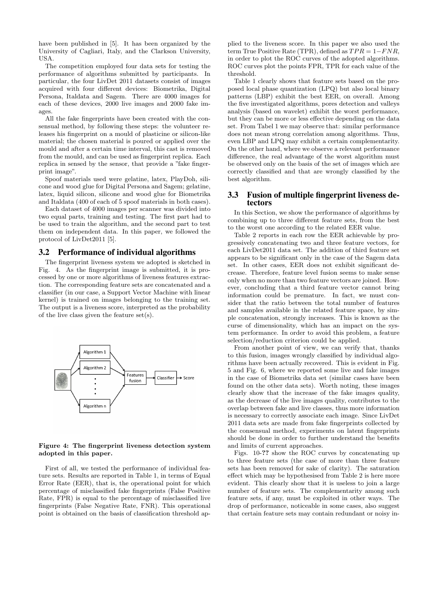have been published in [5]. It has been organized by the University of Cagliari, Italy, and the Clarkson University, USA.

The competition employed four data sets for testing the performance of algorithms submitted by participants. In particular, the four LivDet 2011 datasets consist of images acquired with four different devices: Biometrika, Digital Persona, Italdata and Sagem. There are 4000 images for each of these devices, 2000 live images and 2000 fake images.

All the fake fingerprints have been created with the consensual method, by following these steps: the volunteer releases his fingerprint on a mould of plasticine or silicon-like material; the chosen material is poured or applied over the mould and after a certain time interval, this cast is removed from the mould, and can be used as fingerprint replica. Each replica in sensed by the sensor, that provide a "fake fingerprint image".

Spoof materials used were gelatine, latex, PlayDoh, silicone and wood glue for Digital Persona and Sagem; gelatine, latex, liquid silicon, silicone and wood glue for Biometrika and Italdata (400 of each of 5 spoof materials in both cases).

Each dataset of 4000 images per scanner was divided into two equal parts, training and testing. The first part had to be used to train the algorithm, and the second part to test them on independent data. In this paper, we followed the protocol of LivDet2011 [5].

#### 3.2 Performance of individual algorithms

The fingerprint liveness system we adopted is sketched in Fig. 4. As the fingerprint image is submitted, it is processed by one or more algorithms of liveness features extraction. The corresponding feature sets are concatenated and a classifier (in our case, a Support Vector Machine with linear kernel) is trained on images belonging to the training set. The output is a liveness score, interpreted as the probability of the live class given the feature set(s).



#### **Figure 4: The fingerprint liveness detection system adopted in this paper.**

First of all, we tested the performance of individual feature sets. Results are reported in Table 1, in terms of Equal Error Rate (EER), that is, the operational point for which percentage of misclassified fake fingerprints (False Positive Rate, FPR) is equal to the percentage of misclassified live fingerprints (False Negative Rate, FNR). This operational point is obtained on the basis of classification threshold ap-

plied to the liveness score. In this paper we also used the term True Positive Rate (TPR), defined as *T P R* = 1*−F NR*, in order to plot the ROC curves of the adopted algorithms. ROC curves plot the points FPR, TPR for each value of the threshold.

Table 1 clearly shows that feature sets based on the proposed local phase quantization (LPQ) but also local binary patterns (LBP) exhibit the best EER, on overall. Among the five investigated algorithms, pores detection and valleys analysis (based on wavelet) exhibit the worst performance, but they can be more or less effective depending on the data set. From Tabel 1 we may observe that: similar performance does not mean strong correlation among algorithms. Thus, even LBP and LPQ may exhibit a certain complementarity. On the other hand, where we observe a relevant performance difference, the real advantage of the worst algorithm must be observed only on the basis of the set of images which are correctly classified and that are wrongly classified by the best algorithm.

## 3.3 Fusion of multiple fingerprint liveness detectors

In this Section, we show the performance of algorithms by combining up to three different feature sets, from the best to the worst one according to the related EER value.

Table 2 reports in each row the EER achievable by progressively concatenating two and three feature vectors, for each LivDet2011 data set. The addition of third feature set appears to be significant only in the case of the Sagem data set. In other cases, EER does not exhibit significant decrease. Therefore, feature level fusion seems to make sense only when no more than two feature vectors are joined. However, concluding that a third feature vector cannot bring information could be premature. In fact, we must consider that the ratio between the total number of features and samples available in the related feature space, by simple concatenation, strongly increases. This is known as the curse of dimensionality, which has an impact on the system performance. In order to avoid this problem, a feature selection/reduction criterion could be applied.

From another point of view, we can verify that, thanks to this fusion, images wrongly classified by individual algorithms have been actually recovered. This is evident in Fig. 5 and Fig. 6, where we reported some live and fake images in the case of Biometrika data set (similar cases have been found on the other data sets). Worth noting, these images clearly show that the increase of the fake images quality, as the decrease of the live images quality, contributes to the overlap between fake and live classes, thus more information is necessary to correctly associate each image. Since LivDet 2011 data sets are made from fake fingerprints collected by the consensual method, experiments on latent fingerprints should be done in order to further understand the benefits and limits of current approaches.

Figs. 10-**??** show the ROC curves by concatenating up to three feature sets (the case of more than three feature sets has been removed for sake of clarity). The saturation effect which may be hypothesised from Table 2 is here more evident. This clearly show that it is useless to join a large number of feature sets. The complementarity among such feature sets, if any, must be exploited in other ways. The drop of performance, noticeable in some cases, also suggest that certain feature sets may contain redundant or noisy in-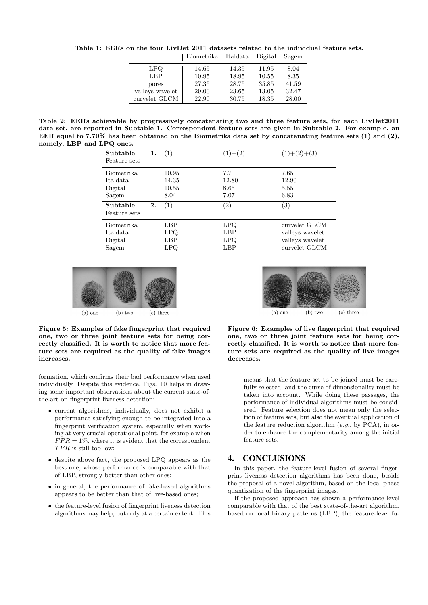**Table 1: EERs on the four LivDet 2011 datasets related to the individual feature sets.**

|                 | Biometrika   Italdata   Digital |       |       | Sagem |
|-----------------|---------------------------------|-------|-------|-------|
| LPQ.            | 14.65                           | 14.35 | 11.95 | 8.04  |
| LBP             | 10.95                           | 18.95 | 10.55 | 8.35  |
| pores           | 27.35                           | 28.75 | 35.85 | 41.59 |
| valleys wavelet | 29.00                           | 23.65 | 13.05 | 32.47 |
| curvelet GLCM   | 22.90                           | 30.75 | 18.35 | 28.00 |

**Table 2: EERs achievable by progressively concatenating two and three feature sets, for each LivDet2011 data set, are reported in Subtable 1. Correspondent feature sets are given in Subtable 2. For example, an EER equal to 7.70% has been obtained on the Biometrika data set by concatenating feature sets (1) and (2), namely, LBP and LPQ ones.**

| Subtable<br>Feature sets | 1. | (1)   | $(1)+(2)$         | $(1)+(2)+(3)$     |
|--------------------------|----|-------|-------------------|-------------------|
| <b>Biometrika</b>        |    | 10.95 | 7.70              | 7.65              |
| Italdata                 |    | 14.35 | 12.80             | 12.90             |
| Digital                  |    | 10.55 | 8.65              | 5.55              |
| Sagem                    |    | 8.04  | 7.07              | 6.83              |
| Subtable<br>Feature sets | 2. | (1)   | $\left( 2\right)$ | $\left( 3\right)$ |
| <b>Biometrika</b>        |    | LBP   | LPQ               | curvelet GLCM     |
| Italdata                 |    | LPQ.  | LBP               | valleys wavelet   |
| Digital                  |    | LBP   | LPQ               | valleys wavelet   |
| Sagem                    |    | LPQ.  | LBP               | curvelet GLCM     |



**Figure 5: Examples of fake fingerprint that required one, two or three joint feature sets for being correctly classified. It is worth to notice that more feature sets are required as the quality of fake images increases.**

formation, which confirms their bad performance when used individually. Despite this evidence, Figs. 10 helps in drawing some important observations about the current state-ofthe-art on fingerprint liveness detection:

- *•* current algorithms, individually, does not exhibit a performance satisfying enough to be integrated into a fingerprint verification system, especially when working at very crucial operational point, for example when  $FPR = 1\%$ , where it is evident that the correspondent *TPR* is still too low;
- *•* despite above fact, the proposed LPQ appears as the best one, whose performance is comparable with that of LBP, strongly better than other ones;
- in general, the performance of fake-based algorithms appears to be better than that of live-based ones;
- *•* the feature-level fusion of fingerprint liveness detection algorithms may help, but only at a certain extent. This



**Figure 6: Examples of live fingerprint that required one, two or three joint feature sets for being correctly classified. It is worth to notice that more feature sets are required as the quality of live images decreases.**

means that the feature set to be joined must be carefully selected, and the curse of dimensionality must be taken into account. While doing these passages, the performance of individual algorithms must be considered. Feature selection does not mean only the selection of feature sets, but also the eventual application of the feature reduction algorithm (*e.g.*, by PCA), in order to enhance the complementarity among the initial feature sets.

# 4. CONCLUSIONS

In this paper, the feature-level fusion of several fingerprint liveness detection algorithms has been done, beside the proposal of a novel algorithm, based on the local phase quantization of the fingerprint images.

If the proposed approach has shown a performance level comparable with that of the best state-of-the-art algorithm, based on local binary patterns (LBP), the feature-level fu-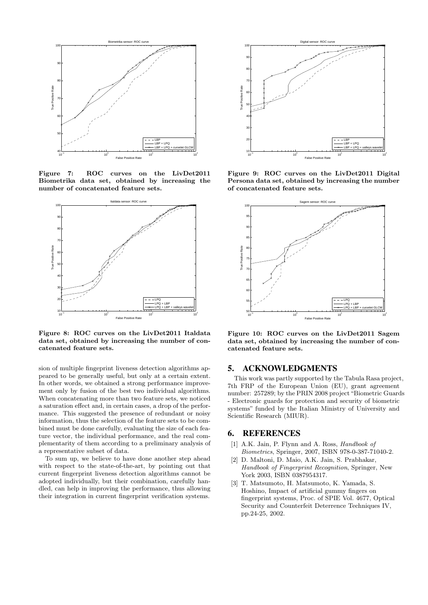

**Figure 7: ROC curves on the LivDet2011 Biometrika data set, obtained by increasing the number of concatenated feature sets.**



**Figure 8: ROC curves on the LivDet2011 Italdata data set, obtained by increasing the number of concatenated feature sets.**

sion of multiple fingeprint liveness detection algorithms appeared to be generally useful, but only at a certain extent. In other words, we obtained a strong performance improvement only by fusion of the best two individual algorithms. When concatenating more than two feature sets, we noticed a saturation effect and, in certain cases, a drop of the performance. This suggested the presence of redundant or noisy information, thus the selection of the feature sets to be combined must be done carefully, evaluating the size of each feature vector, the individual performance, and the real complementarity of them according to a preliminary analysis of a representative subset of data.

To sum up, we believe to have done another step ahead with respect to the state-of-the-art, by pointing out that current fingerprint liveness detection algorithms cannot be adopted individually, but their combination, carefully handled, can help in improving the performance, thus allowing their integration in current fingerprint verification systems.



**Figure 9: ROC curves on the LivDet2011 Digital Persona data set, obtained by increasing the number of concatenated feature sets.**



**Figure 10: ROC curves on the LivDet2011 Sagem data set, obtained by increasing the number of concatenated feature sets.**

#### 5. ACKNOWLEDGMENTS

This work was partly supported by the Tabula Rasa project, 7th FRP of the European Union (EU), grant agreement number: 257289; by the PRIN 2008 project"Biometric Guards - Electronic guards for protection and security of biometric systems" funded by the Italian Ministry of University and Scientific Research (MIUR).

### 6. REFERENCES

- [1] A.K. Jain, P. Flynn and A. Ross, *Handbook of Biometrics*, Springer, 2007, ISBN 978-0-387-71040-2.
- [2] D. Maltoni, D. Maio, A.K. Jain, S. Prabhakar, *Handbook of Fingerprint Recognition*, Springer, New York 2003, ISBN 0387954317.
- [3] T. Matsumoto, H. Matsumoto, K. Yamada, S. Hoshino, Impact of artificial gummy fingers on fingerprint systems, Proc. of SPIE Vol. 4677, Optical Security and Counterfeit Deterrence Techniques IV, pp.24-25, 2002.